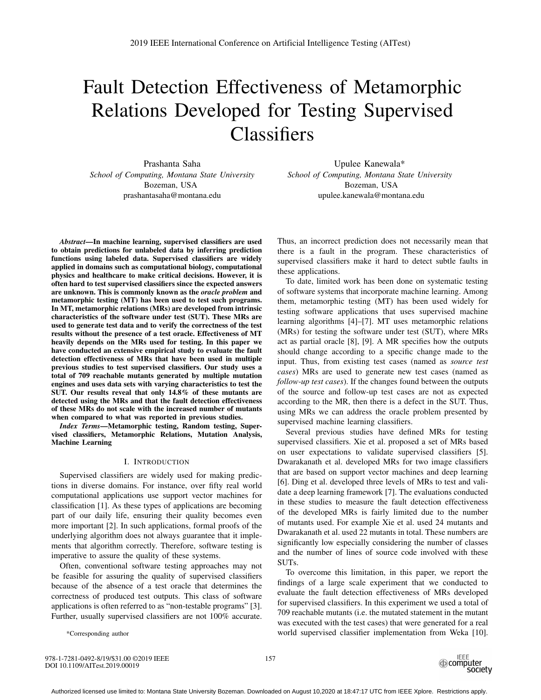# Fault Detection Effectiveness of Metamorphic Relations Developed for Testing Supervised **Classifiers**

Prashanta Saha *School of Computing, Montana State University* Bozeman, USA prashantasaha@montana.edu

*Abstract*—In machine learning, supervised classifiers are used to obtain predictions for unlabeled data by inferring prediction functions using labeled data. Supervised classifiers are widely applied in domains such as computational biology, computational physics and healthcare to make critical decisions. However, it is often hard to test supervised classifiers since the expected answers are unknown. This is commonly known as the *oracle problem* and metamorphic testing (MT) has been used to test such programs. In MT, metamorphic relations (MRs) are developed from intrinsic characteristics of the software under test (SUT). These MRs are used to generate test data and to verify the correctness of the test results without the presence of a test oracle. Effectiveness of MT heavily depends on the MRs used for testing. In this paper we have conducted an extensive empirical study to evaluate the fault detection effectiveness of MRs that have been used in multiple previous studies to test supervised classifiers. Our study uses a total of 709 reachable mutants generated by multiple mutation engines and uses data sets with varying characteristics to test the SUT. Our results reveal that only 14.8% of these mutants are detected using the MRs and that the fault detection effectiveness of these MRs do not scale with the increased number of mutants when compared to what was reported in previous studies.

*Index Terms*—Metamorphic testing, Random testing, Supervised classifiers, Metamorphic Relations, Mutation Analysis, Machine Learning

## I. INTRODUCTION

Supervised classifiers are widely used for making predictions in diverse domains. For instance, over fifty real world computational applications use support vector machines for classification [1]. As these types of applications are becoming part of our daily life, ensuring their quality becomes even more important [2]. In such applications, formal proofs of the underlying algorithm does not always guarantee that it implements that algorithm correctly. Therefore, software testing is imperative to assure the quality of these systems.

Often, conventional software testing approaches may not be feasible for assuring the quality of supervised classifiers because of the absence of a test oracle that determines the correctness of produced test outputs. This class of software applications is often referred to as "non-testable programs" [3]. Further, usually supervised classifiers are not 100% accurate.

Upulee Kanewala\* *School of Computing, Montana State University* Bozeman, USA upulee.kanewala@montana.edu

Thus, an incorrect prediction does not necessarily mean that there is a fault in the program. These characteristics of supervised classifiers make it hard to detect subtle faults in these applications.

To date, limited work has been done on systematic testing of software systems that incorporate machine learning. Among them, metamorphic testing (MT) has been used widely for testing software applications that uses supervised machine learning algorithms [4]–[7]. MT uses metamorphic relations (MRs) for testing the software under test (SUT), where MRs act as partial oracle [8], [9]. A MR specifies how the outputs should change according to a specific change made to the input. Thus, from existing test cases (named as *source test cases*) MRs are used to generate new test cases (named as *follow-up test cases*). If the changes found between the outputs of the source and follow-up test cases are not as expected according to the MR, then there is a defect in the SUT. Thus, using MRs we can address the oracle problem presented by supervised machine learning classifiers.

Several previous studies have defined MRs for testing supervised classifiers. Xie et al. proposed a set of MRs based on user expectations to validate supervised classifiers [5]. Dwarakanath et al. developed MRs for two image classifiers that are based on support vector machines and deep learning [6]. Ding et al. developed three levels of MRs to test and validate a deep learning framework [7]. The evaluations conducted in these studies to measure the fault detection effectiveness of the developed MRs is fairly limited due to the number of mutants used. For example Xie et al. used 24 mutants and Dwarakanath et al. used 22 mutants in total. These numbers are significantly low especially considering the number of classes and the number of lines of source code involved with these SUTs.

To overcome this limitation, in this paper, we report the findings of a large scale experiment that we conducted to evaluate the fault detection effectiveness of MRs developed for supervised classifiers. In this experiment we used a total of 709 reachable mutants (i.e. the mutated statement in the mutant was executed with the test cases) that were generated for a real world supervised classifier implementation from Weka [10].

\*Corresponding author

978-1-7281-0492-8/19/\$31.00 ©2019 IEEE DOI 10.1109/AITest.2019.00019

157

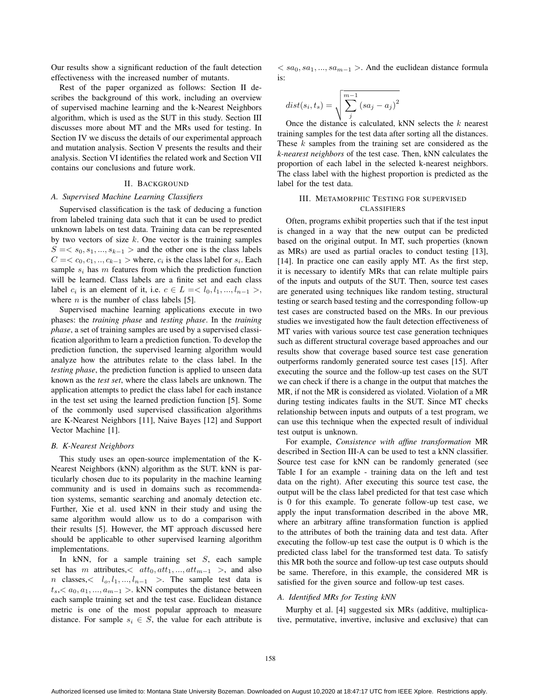Our results show a significant reduction of the fault detection effectiveness with the increased number of mutants.

Rest of the paper organized as follows: Section II describes the background of this work, including an overview of supervised machine learning and the k-Nearest Neighbors algorithm, which is used as the SUT in this study. Section III discusses more about MT and the MRs used for testing. In Section IV we discuss the details of our experimental approach and mutation analysis. Section V presents the results and their analysis. Section VI identifies the related work and Section VII contains our conclusions and future work.

#### II. BACKGROUND

#### *A. Supervised Machine Learning Classifiers*

Supervised classification is the task of deducing a function from labeled training data such that it can be used to predict unknown labels on test data. Training data can be represented by two vectors of size *k*. One vector is the training samples  $S = \langle s_0, s_1, \ldots, s_{k-1} \rangle$  and the other one is the class labels  $C = \langle c_0, c_1, \ldots, c_{k-1} \rangle$  where,  $c_i$  is the class label for  $s_i$ . Each sample  $s_i$  has  $m$  features from which the prediction function will be learned. Class labels are a finite set and each class label *c<sub>i</sub>* is an element of it, i.e.  $c \in L = \langle l_0, l_1, ..., l_{n-1} \rangle$ , where  $n$  is the number of class labels [5].

Supervised machine learning applications execute in two phases: the *training phase* and *testing phase*. In the *training phase*, a set of training samples are used by a supervised classification algorithm to learn a prediction function. To develop the prediction function, the supervised learning algorithm would analyze how the attributes relate to the class label. In the *testing phase*, the prediction function is applied to unseen data known as the *test set*, where the class labels are unknown. The application attempts to predict the class label for each instance in the test set using the learned prediction function [5]. Some of the commonly used supervised classification algorithms are K-Nearest Neighbors [11], Naive Bayes [12] and Support Vector Machine [1].

### *B. K-Nearest Neighbors*

This study uses an open-source implementation of the K-Nearest Neighbors (kNN) algorithm as the SUT. kNN is particularly chosen due to its popularity in the machine learning community and is used in domains such as recommendation systems, semantic searching and anomaly detection etc. Further, Xie et al. used kNN in their study and using the same algorithm would allow us to do a comparison with their results [5]. However, the MT approach discussed here should be applicable to other supervised learning algorithm implementations.

In kNN, for a sample training set *S*, each sample set has *m* attributes,  $<$  att<sub>0</sub>, att<sub>1</sub>, ..., att<sub>*m*−1</sub> >, and also *n* classes,*< l*o*, l*1*, ..., l*<sup>n</sup>−<sup>1</sup> *>*. The sample test data is  $t_s, t_s, a_0, a_1, \ldots, a_{m-1} >$ . kNN computes the distance between each sample training set and the test case. Euclidean distance metric is one of the most popular approach to measure distance. For sample  $s_i \in S$ , the value for each attribute is

 $\langle sa_0, sa_1, \ldots, sa_{m-1} \rangle$ . And the euclidean distance formula is:

$$
dist(s_i, t_s) = \sqrt{\sum_{j}^{m-1} (sa_j - a_j)^2}
$$

Once the distance is calculated, kNN selects the *k* nearest training samples for the test data after sorting all the distances. These *k* samples from the training set are considered as the *k-nearest neighbors* of the test case. Then, kNN calculates the proportion of each label in the selected k-nearest neighbors. The class label with the highest proportion is predicted as the label for the test data.

# III. METAMORPHIC TESTING FOR SUPERVISED CLASSIFIERS

Often, programs exhibit properties such that if the test input is changed in a way that the new output can be predicted based on the original output. In MT, such properties (known as MRs) are used as partial oracles to conduct testing [13], [14]. In practice one can easily apply MT. As the first step, it is necessary to identify MRs that can relate multiple pairs of the inputs and outputs of the SUT. Then, source test cases are generated using techniques like random testing, structural testing or search based testing and the corresponding follow-up test cases are constructed based on the MRs. In our previous studies we investigated how the fault detection effectiveness of MT varies with various source test case generation techniques such as different structural coverage based approaches and our results show that coverage based source test case generation outperforms randomly generated source test cases [15]. After executing the source and the follow-up test cases on the SUT we can check if there is a change in the output that matches the MR, if not the MR is considered as violated. Violation of a MR during testing indicates faults in the SUT. Since MT checks relationship between inputs and outputs of a test program, we can use this technique when the expected result of individual test output is unknown.

For example, *Consistence with affine transformation* MR described in Section III-A can be used to test a kNN classifier. Source test case for kNN can be randomly generated (see Table I for an example - training data on the left and test data on the right). After executing this source test case, the output will be the class label predicted for that test case which is 0 for this example. To generate follow-up test case, we apply the input transformation described in the above MR, where an arbitrary affine transformation function is applied to the attributes of both the training data and test data. After executing the follow-up test case the output is 0 which is the predicted class label for the transformed test data. To satisfy this MR both the source and follow-up test case outputs should be same. Therefore, in this example, the considered MR is satisfied for the given source and follow-up test cases.

## *A. Identified MRs for Testing kNN*

Murphy et al. [4] suggested six MRs (additive, multiplicative, permutative, invertive, inclusive and exclusive) that can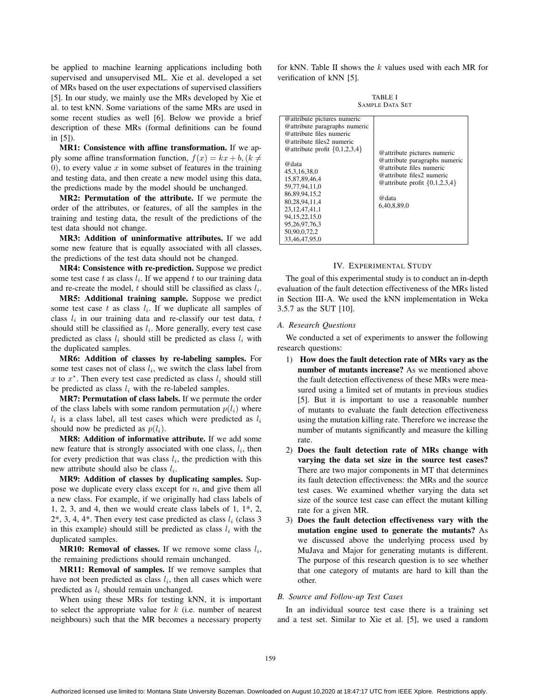be applied to machine learning applications including both supervised and unsupervised ML. Xie et al. developed a set of MRs based on the user expectations of supervised classifiers [5]. In our study, we mainly use the MRs developed by Xie et al. to test kNN. Some variations of the same MRs are used in some recent studies as well [6]. Below we provide a brief description of these MRs (formal definitions can be found in [5]).

MR1: Consistence with affine transformation. If we apply some affine transformation function,  $f(x) = kx + b$ ,  $(k \neq$ 0), to every value  $x$  in some subset of features in the training and testing data, and then create a new model using this data, the predictions made by the model should be unchanged.

MR2: Permutation of the attribute. If we permute the order of the attributes, or features, of all the samples in the training and testing data, the result of the predictions of the test data should not change.

MR3: Addition of uninformative attributes. If we add some new feature that is equally associated with all classes, the predictions of the test data should not be changed.

MR4: Consistence with re-prediction. Suppose we predict some test case  $t$  as class  $l_i$ . If we append  $t$  to our training data and re-create the model, *t* should still be classified as class  $l_i$ .

MR5: Additional training sample. Suppose we predict some test case  $t$  as class  $l_i$ . If we duplicate all samples of class  $l_i$  in our training data and re-classify our test data,  $t$ should still be classified as  $l_i$ . More generally, every test case predicted as class  $l_i$  should still be predicted as class  $l_i$  with the duplicated samples.

MR6: Addition of classes by re-labeling samples. For some test cases not of class *l*i, we switch the class label from *x* to  $x^*$ . Then every test case predicted as class  $l_i$  should still be predicted as class  $l_i$  with the re-labeled samples.

MR7: Permutation of class labels. If we permute the order of the class labels with some random permutation  $p(l_i)$  where  $l_i$  is a class label, all test cases which were predicted as  $l_i$ should now be predicted as  $p(l_i)$ .

MR8: Addition of informative attribute. If we add some new feature that is strongly associated with one class,  $l_i$ , then for every prediction that was class  $l_i$ , the prediction with this new attribute should also be class  $l_i$ .

MR9: Addition of classes by duplicating samples. Suppose we duplicate every class except for *n*, and give them all a new class. For example, if we originally had class labels of 1, 2, 3, and 4, then we would create class labels of 1, 1\*, 2,  $2^*$ , 3, 4, 4<sup>\*</sup>. Then every test case predicted as class  $l_i$  (class 3) in this example) should still be predicted as class  $l_i$  with the duplicated samples.

MR10: Removal of classes. If we remove some class *l*i, the remaining predictions should remain unchanged.

MR11: Removal of samples. If we remove samples that have not been predicted as class  $l_i$ , then all cases which were predicted as *l*<sup>i</sup> should remain unchanged.

When using these MRs for testing kNN, it is important to select the appropriate value for *k* (i.e. number of nearest neighbours) such that the MR becomes a necessary property

for kNN. Table II shows the *k* values used with each MR for verification of kNN [5].

TABLE I SAMPLE DATA SET

| @attribute pictures numeric<br>@attribute paragraphs numeric<br>@attribute files numeric<br>@attribute files2 numeric<br>@ attribute profit $\{0,1,2,3,4\}$<br>@data<br>45.3.16.38.0<br>15,87,89,46,4<br>59,77,94,11,0<br>86.89.94.15.2<br>80.28.94.11.4<br>23.12.47.41.1<br>94, 15, 22, 15, 0<br>95, 26, 97, 76, 3<br>50,90,0,72,2<br>33.46.47.95.0 | @attribute pictures numeric<br>@attribute paragraphs numeric<br>@attribute files numeric<br>@attribute files2 numeric<br>@attribute profit $\{0,1,2,3,4\}$<br>@data<br>6.40.8.89.0 |
|------------------------------------------------------------------------------------------------------------------------------------------------------------------------------------------------------------------------------------------------------------------------------------------------------------------------------------------------------|------------------------------------------------------------------------------------------------------------------------------------------------------------------------------------|

#### IV. EXPERIMENTAL STUDY

The goal of this experimental study is to conduct an in-depth evaluation of the fault detection effectiveness of the MRs listed in Section III-A. We used the kNN implementation in Weka 3.5.7 as the SUT [10].

# *A. Research Questions*

We conducted a set of experiments to answer the following research questions:

- 1) How does the fault detection rate of MRs vary as the number of mutants increase? As we mentioned above the fault detection effectiveness of these MRs were measured using a limited set of mutants in previous studies [5]. But it is important to use a reasonable number of mutants to evaluate the fault detection effectiveness using the mutation killing rate. Therefore we increase the number of mutants significantly and measure the killing rate.
- 2) Does the fault detection rate of MRs change with varying the data set size in the source test cases? There are two major components in MT that determines its fault detection effectiveness: the MRs and the source test cases. We examined whether varying the data set size of the source test case can effect the mutant killing rate for a given MR.
- 3) Does the fault detection effectiveness vary with the mutation engine used to generate the mutants? As we discussed above the underlying process used by MuJava and Major for generating mutants is different. The purpose of this research question is to see whether that one category of mutants are hard to kill than the other.

#### *B. Source and Follow-up Test Cases*

In an individual source test case there is a training set and a test set. Similar to Xie et al. [5], we used a random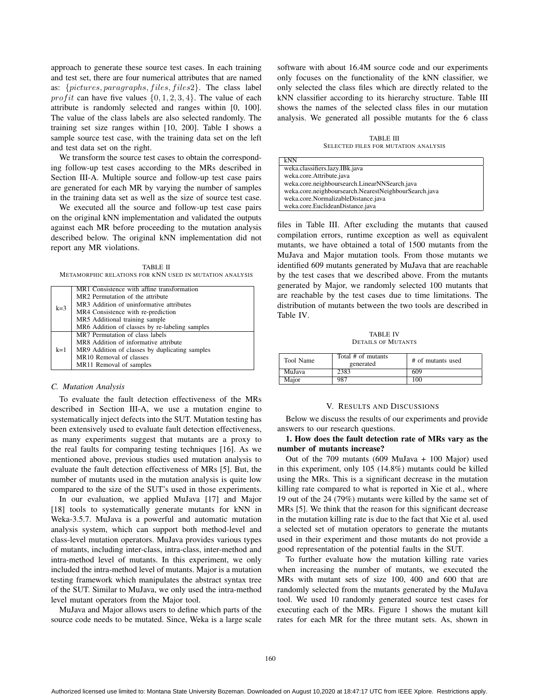approach to generate these source test cases. In each training and test set, there are four numerical attributes that are named as: {*pictures, paragraphs, f iles, f iles*2}. The class label *prof it* can have five values  $\{0, 1, 2, 3, 4\}$ . The value of each attribute is randomly selected and ranges within [0, 100]. The value of the class labels are also selected randomly. The training set size ranges within [10, 200]. Table I shows a sample source test case, with the training data set on the left and test data set on the right.

We transform the source test cases to obtain the corresponding follow-up test cases according to the MRs described in Section III-A. Multiple source and follow-up test case pairs are generated for each MR by varying the number of samples in the training data set as well as the size of source test case.

We executed all the source and follow-up test case pairs on the original kNN implementation and validated the outputs against each MR before proceeding to the mutation analysis described below. The original kNN implementation did not report any MR violations.

TABLE II METAMORPHIC RELATIONS FOR KNN USED IN MUTATION ANALYSIS

|       | MR1 Consistence with affine transformation     |
|-------|------------------------------------------------|
| $k=3$ | MR2 Permutation of the attribute               |
|       | MR3 Addition of uninformative attributes       |
|       | MR4 Consistence with re-prediction             |
|       | MR5 Additional training sample                 |
|       | MR6 Addition of classes by re-labeling samples |
| $k=1$ | MR7 Permutation of class labels                |
|       | MR8 Addition of informative attribute          |
|       | MR9 Addition of classes by duplicating samples |
|       | MR10 Removal of classes                        |
|       | MR11 Removal of samples                        |

#### *C. Mutation Analysis*

To evaluate the fault detection effectiveness of the MRs described in Section III-A, we use a mutation engine to systematically inject defects into the SUT. Mutation testing has been extensively used to evaluate fault detection effectiveness, as many experiments suggest that mutants are a proxy to the real faults for comparing testing techniques [16]. As we mentioned above, previous studies used mutation analysis to evaluate the fault detection effectiveness of MRs [5]. But, the number of mutants used in the mutation analysis is quite low compared to the size of the SUT's used in those experiments.

In our evaluation, we applied MuJava [17] and Major [18] tools to systematically generate mutants for kNN in Weka-3.5.7. MuJava is a powerful and automatic mutation analysis system, which can support both method-level and class-level mutation operators. MuJava provides various types of mutants, including inter-class, intra-class, inter-method and intra-method level of mutants. In this experiment, we only included the intra-method level of mutants. Major is a mutation testing framework which manipulates the abstract syntax tree of the SUT. Similar to MuJava, we only used the intra-method level mutant operators from the Major tool.

MuJava and Major allows users to define which parts of the source code needs to be mutated. Since, Weka is a large scale software with about 16.4M source code and our experiments only focuses on the functionality of the kNN classifier, we only selected the class files which are directly related to the kNN classifier according to its hierarchy structure. Table III shows the names of the selected class files in our mutation analysis. We generated all possible mutants for the 6 class

TABLE III SELECTED FILES FOR MUTATION ANALYSIS

| kNN                                                   |  |
|-------------------------------------------------------|--|
| weka.classifiers.lazy.IBk.java                        |  |
| weka.core.Attribute.java                              |  |
| weka.core.neighboursearch.LinearNNSearch.java         |  |
| weka.core.neighboursearch.NearestNeighbourSearch.java |  |
| weka.core.NormalizableDistance.java                   |  |
| weka.core.EuclideanDistance.java                      |  |

files in Table III. After excluding the mutants that caused compilation errors, runtime exception as well as equivalent mutants, we have obtained a total of 1500 mutants from the MuJava and Major mutation tools. From those mutants we identified 609 mutants generated by MuJava that are reachable by the test cases that we described above. From the mutants generated by Major, we randomly selected 100 mutants that are reachable by the test cases due to time limitations. The distribution of mutants between the two tools are described in Table IV.

TABLE IV DETAILS OF MUTANTS

| Tool Name | Total # of mutants<br>generated | # of mutants used |
|-----------|---------------------------------|-------------------|
| MuJava    | 2383                            | 609               |
| Major     | 987                             | 100               |

#### V. RESULTS AND DISCUSSIONS

Below we discuss the results of our experiments and provide answers to our research questions.

1. How does the fault detection rate of MRs vary as the number of mutants increase?

Out of the 709 mutants (609 MuJava + 100 Major) used in this experiment, only 105 (14.8%) mutants could be killed using the MRs. This is a significant decrease in the mutation killing rate compared to what is reported in Xie et al., where 19 out of the 24 (79%) mutants were killed by the same set of MRs [5]. We think that the reason for this significant decrease in the mutation killing rate is due to the fact that Xie et al. used a selected set of mutation operators to generate the mutants used in their experiment and those mutants do not provide a good representation of the potential faults in the SUT.

To further evaluate how the mutation killing rate varies when increasing the number of mutants, we executed the MRs with mutant sets of size 100, 400 and 600 that are randomly selected from the mutants generated by the MuJava tool. We used 10 randomly generated source test cases for executing each of the MRs. Figure 1 shows the mutant kill rates for each MR for the three mutant sets. As, shown in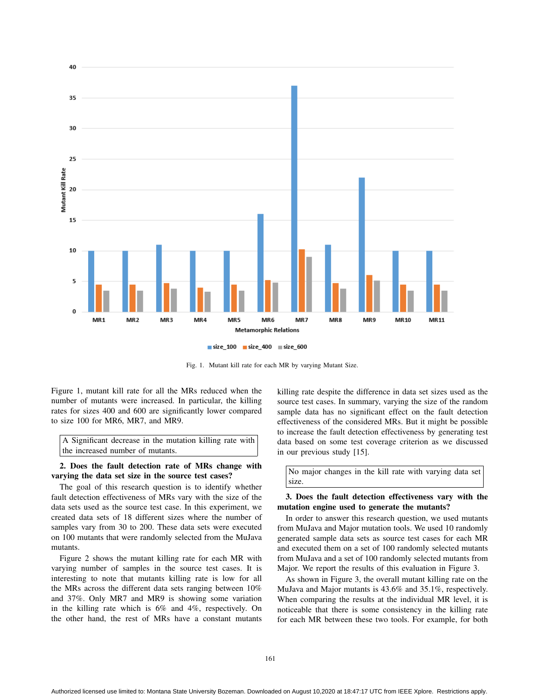

Fig. 1. Mutant kill rate for each MR by varying Mutant Size.

Figure 1, mutant kill rate for all the MRs reduced when the number of mutants were increased. In particular, the killing rates for sizes 400 and 600 are significantly lower compared to size 100 for MR6, MR7, and MR9.

A Significant decrease in the mutation killing rate with the increased number of mutants.

2. Does the fault detection rate of MRs change with varying the data set size in the source test cases?

The goal of this research question is to identify whether fault detection effectiveness of MRs vary with the size of the data sets used as the source test case. In this experiment, we created data sets of 18 different sizes where the number of samples vary from 30 to 200. These data sets were executed on 100 mutants that were randomly selected from the MuJava mutants.

Figure 2 shows the mutant killing rate for each MR with varying number of samples in the source test cases. It is interesting to note that mutants killing rate is low for all the MRs across the different data sets ranging between 10% and 37%. Only MR7 and MR9 is showing some variation in the killing rate which is 6% and 4%, respectively. On the other hand, the rest of MRs have a constant mutants killing rate despite the difference in data set sizes used as the source test cases. In summary, varying the size of the random sample data has no significant effect on the fault detection effectiveness of the considered MRs. But it might be possible to increase the fault detection effectiveness by generating test data based on some test coverage criterion as we discussed in our previous study [15].

No major changes in the kill rate with varying data set size.

# 3. Does the fault detection effectiveness vary with the mutation engine used to generate the mutants?

In order to answer this research question, we used mutants from MuJava and Major mutation tools. We used 10 randomly generated sample data sets as source test cases for each MR and executed them on a set of 100 randomly selected mutants from MuJava and a set of 100 randomly selected mutants from Major. We report the results of this evaluation in Figure 3.

As shown in Figure 3, the overall mutant killing rate on the MuJava and Major mutants is 43.6% and 35.1%, respectively. When comparing the results at the individual MR level, it is noticeable that there is some consistency in the killing rate for each MR between these two tools. For example, for both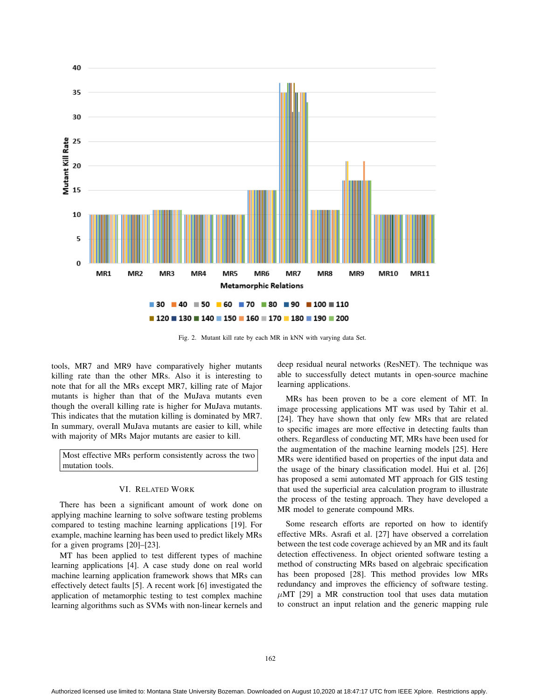

Fig. 2. Mutant kill rate by each MR in kNN with varying data Set.

tools, MR7 and MR9 have comparatively higher mutants killing rate than the other MRs. Also it is interesting to note that for all the MRs except MR7, killing rate of Major mutants is higher than that of the MuJava mutants even though the overall killing rate is higher for MuJava mutants. This indicates that the mutation killing is dominated by MR7. In summary, overall MuJava mutants are easier to kill, while with majority of MRs Major mutants are easier to kill.

Most effective MRs perform consistently across the two mutation tools.

#### VI. RELATED WORK

There has been a significant amount of work done on applying machine learning to solve software testing problems compared to testing machine learning applications [19]. For example, machine learning has been used to predict likely MRs for a given programs [20]–[23].

MT has been applied to test different types of machine learning applications [4]. A case study done on real world machine learning application framework shows that MRs can effectively detect faults [5]. A recent work [6] investigated the application of metamorphic testing to test complex machine learning algorithms such as SVMs with non-linear kernels and deep residual neural networks (ResNET). The technique was able to successfully detect mutants in open-source machine learning applications.

MRs has been proven to be a core element of MT. In image processing applications MT was used by Tahir et al. [24]. They have shown that only few MRs that are related to specific images are more effective in detecting faults than others. Regardless of conducting MT, MRs have been used for the augmentation of the machine learning models [25]. Here MRs were identified based on properties of the input data and the usage of the binary classification model. Hui et al. [26] has proposed a semi automated MT approach for GIS testing that used the superficial area calculation program to illustrate the process of the testing approach. They have developed a MR model to generate compound MRs.

Some research efforts are reported on how to identify effective MRs. Asrafi et al. [27] have observed a correlation between the test code coverage achieved by an MR and its fault detection effectiveness. In object oriented software testing a method of constructing MRs based on algebraic specification has been proposed [28]. This method provides low MRs redundancy and improves the efficiency of software testing.  $\mu$ MT [29] a MR construction tool that uses data mutation to construct an input relation and the generic mapping rule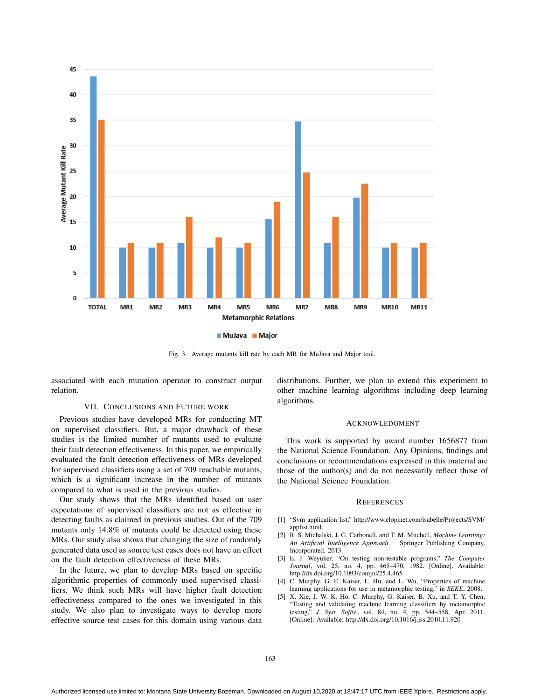

Fig. 3. Average mutants kill rate by each MR for MuJava and Major tool.

associated with each mutation operator to construct output relation.

## VII. CONCLUSIONS AND FUTURE WORK

Previous studies have developed MRs for conducting MT on supervised classifiers. But, a major drawback of these studies is the limited number of mutants used to evaluate their fault detection effectiveness. In this paper, we empirically evaluated the fault detection effectiveness of MRs developed for supervised classifiers using a set of 709 reachable mutants, which is a significant increase in the number of mutants compared to what is used in the previous studies.

Our study shows that the MRs identified based on user expectations of supervised classifiers are not as effective in detecting faults as claimed in previous studies. Out of the 709 mutants only 14.8% of mutants could be detected using these MRs. Our study also shows that changing the size of randomly generated data used as source test cases does not have an effect on the fault detection effectiveness of these MRs.

In the future, we plan to develop MRs based on specific algorithmic properties of commonly used supervised classifiers. We think such MRs will have higher fault detection effectiveness compared to the ones we investigated in this study. We also plan to investigate ways to develop more effective source test cases for this domain using various data distributions. Further, we plan to extend this experiment to other machine learning algorithms including deep learning algorithms.

#### ACKNOWLEDGMENT

This work is supported by award number 1656877 from the National Science Foundation. Any Opinions, findings and conclusions or recommendations expressed in this material are those of the author(s) and do not necessarily reflect those of the National Science Foundation.

#### **REFERENCES**

- [1] "Svm application list," http://www.clopinet.com/isabelle/Projects/SVM/ applist.html.
- [2] R. S. Michalski, J. G. Carbonell, and T. M. Mitchell, *Machine Learning: An Artificial Intelligence Approach*. Springer Publishing Company, Incorporated, 2013.
- [3] E. J. Weyuker, "On testing non-testable programs," *The Computer Journal*, vol. 25, no. 4, pp. 465–470, 1982. [Online]. Available: http://dx.doi.org/10.1093/comjnl/25.4.465
- [4] C. Murphy, G. E. Kaiser, L. Hu, and L. Wu, "Properties of machine learning applications for use in metamorphic testing," in *SEKE*, 2008.
- [5] X. Xie, J. W. K. Ho, C. Murphy, G. Kaiser, B. Xu, and T. Y. Chen, "Testing and validating machine learning classifiers by metamorphic testing," *J. Syst. Softw.*, vol. 84, no. 4, pp. 544–558, Apr. 2011. [Online]. Available: http://dx.doi.org/10.1016/j.jss.2010.11.920